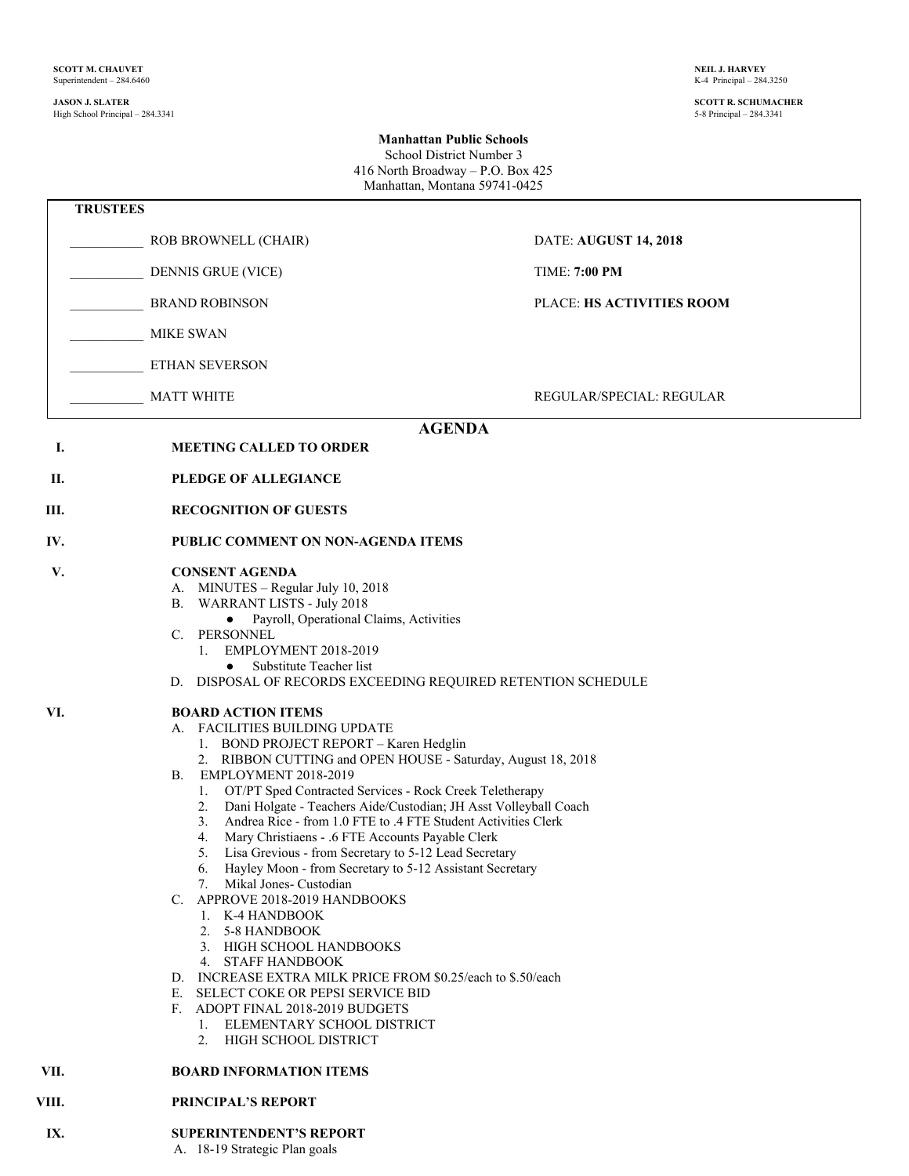#### **JASON J. SLATER SCOTT R. SCHUMACHER** High School Principal – 284.3341

### **Manhattan Public Schools** School District Number 3 416 North Broadway – P.O. Box 425

Manhattan, Montana 59741-0425  **TRUSTEES** \_\_\_\_\_\_\_\_\_\_\_ ROB BROWNELL (CHAIR) DATE: **AUGUST 14, 2018** \_\_\_\_\_\_\_\_\_\_\_ DENNIS GRUE (VICE) TIME: **7:00 PM** \_\_\_\_\_\_\_\_\_\_\_ BRAND ROBINSON PLACE: **HS ACTIVITIES ROOM** \_\_\_\_\_\_\_\_\_\_\_ MIKE SWAN \_\_\_\_\_\_\_\_\_\_\_ ETHAN SEVERSON MATT WHITE  $\begin{array}{ccc} \text{NATT} & \text{RFGULAR} \end{array}$ **AGENDA I. MEETING CALLED TO ORDER II. PLEDGE OF ALLEGIANCE III. RECOGNITION OF GUESTS IV. PUBLIC COMMENT ON NON-AGENDA ITEMS V. CONSENT AGENDA** A. MINUTES – Regular July 10, 2018 B. WARRANT LISTS - July 2018 ● Payroll, Operational Claims, Activities C. PERSONNEL 1. EMPLOYMENT 2018-2019 • Substitute Teacher list D. DISPOSAL OF RECORDS EXCEEDING REQUIRED RETENTION SCHEDULE **VI. BOARD ACTION ITEMS** A. FACILITIES BUILDING UPDATE 1. BOND PROJECT REPORT – Karen Hedglin 2. RIBBON CUTTING and OPEN HOUSE - Saturday, August 18, 2018 B. EMPLOYMENT 2018-2019 1. OT/PT Sped Contracted Services - Rock Creek Teletherapy 2. Dani Holgate - Teachers Aide/Custodian; JH Asst Volleyball Coach 3. Andrea Rice - from 1.0 FTE to .4 FTE Student Activities Clerk Mary Christiaens - .6 FTE Accounts Payable Clerk 5. Lisa Grevious - from Secretary to 5-12 Lead Secretary 6. Hayley Moon - from Secretary to 5-12 Assistant Secretary 7. Mikal Jones- Custodian C. APPROVE 2018-2019 HANDBOOKS 1. K-4 HANDBOOK 2. 5-8 HANDBOOK 3. HIGH SCHOOL HANDBOOKS 4. STAFF HANDBOOK D. INCREASE EXTRA MILK PRICE FROM \$0.25/each to \$.50/each E. SELECT COKE OR PEPSI SERVICE BID F. ADOPT FINAL 2018-2019 BUDGETS 1. ELEMENTARY SCHOOL DISTRICT 2. HIGH SCHOOL DISTRICT **VII. BOARD INFORMATION ITEMS VIII. PRINCIPAL'S REPORT**

#### **IX. SUPERINTENDENT'S REPORT**

A. 18-19 Strategic Plan goals